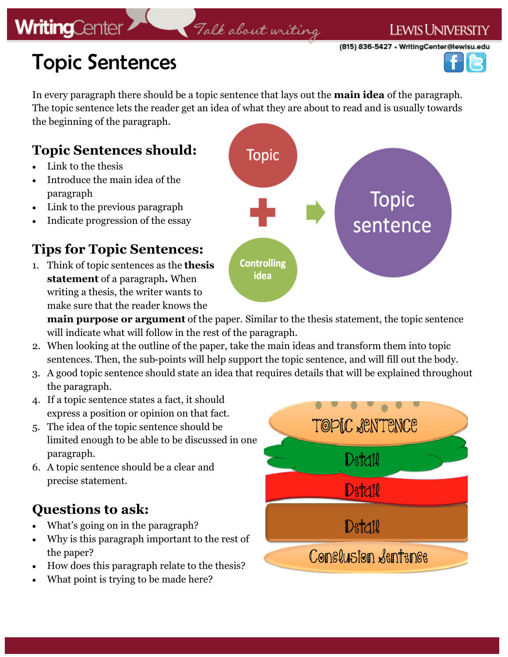## **WritingCenter**

### Talk about writing

(815) 836-5427 • WritingCenter@lewisu.edu

**LEWIS UNIVERSITY** 



# Topic Sentences

In every paragraph there should be a topic sentence that lays out the **main idea** of the paragraph. The topic sentence lets the reader get an idea of what they are about to read and is usually towards the beginning of the paragraph.

### **Topic Sentences should:**

- Link to the thesis
- Introduce the main idea of the paragraph
- Link to the previous paragraph
- Indicate progression of the essay

#### **Tips for Topic Sentences:**

1. Think of topic sentences as the **thesis statement** of a paragraph**.** When writing a thesis, the writer wants to make sure that the reader knows the

**Topic Topic** sentence **Controlling** idea

**main purpose or argument** of the paper. Similar to the thesis statement, the topic sentence will indicate what will follow in the rest of the paragraph.

- 2. When looking at the outline of the paper, take the main ideas and transform them into topic sentences. Then, the sub-points will help support the topic sentence, and will fill out the body.
- 3. A good topic sentence should state an idea that requires details that will be explained throughout the paragraph.
- 4. If a topic sentence states a fact, it should express a position or opinion on that fact.
- 5. The idea of the topic sentence should be limited enough to be able to be discussed in one paragraph.
- 6. A topic sentence should be a clear and precise statement.

#### **Questions to ask:**

- What's going on in the paragraph?
- Why is this paragraph important to the rest of the paper?
- How does this paragraph relate to the thesis?
- What point is trying to be made here?